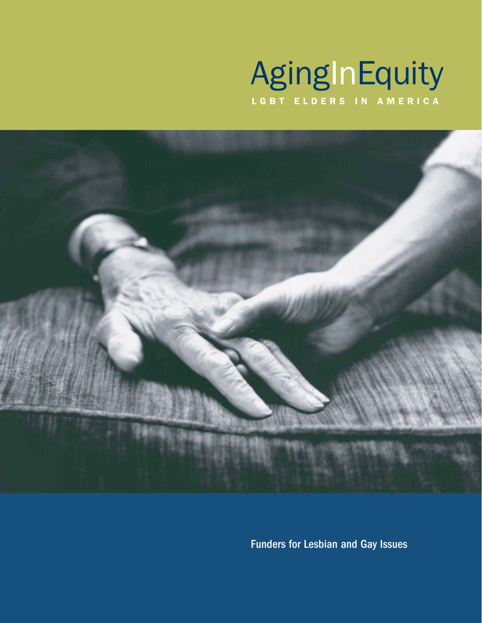# AgingInEquity LGBT ELDERS IN AMERICA



Funders for Lesbian and Gay Issues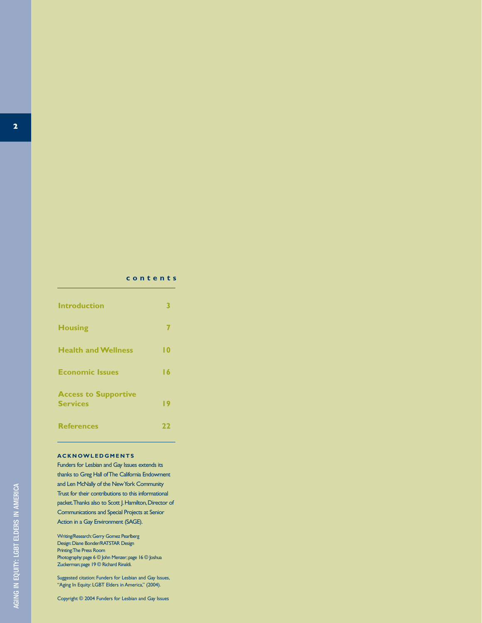#### **contents**

| <b>Introduction</b>                            | B   |
|------------------------------------------------|-----|
| <b>Housing</b>                                 | 7   |
| <b>Health and Wellness</b>                     | l 0 |
| <b>Economic Issues</b>                         | 16  |
| <b>Access to Supportive</b><br><b>Services</b> | 19  |
| <b>References</b>                              | 22  |

#### **ACKNOWLEDGMENTS**

Funders for Lesbian and Gay Issues extends its thanks to Greg Hall of The California Endowment and Len McNally of the New York Community Trust for their contributions to this informational packet. Thanks also to Scott J. Hamilton, Director of Communications and Special Projects at Senior Action in a Gay Environment (SAGE).

Writing/Research:Gerry Gomez Pearlberg Design:Diane Bonder/RATSTAR Design Printing:The Press Room Photography: page 6 © John Menzer; page 16 © Joshua Zuckerman;page 19 © Richard Rinaldi.

Suggested citation: Funders for Lesbian and Gay Issues, "Aging In Equity: LGBT Elders in America," (2004).

Copyright © 2004 Funders for Lesbian and Gay Issues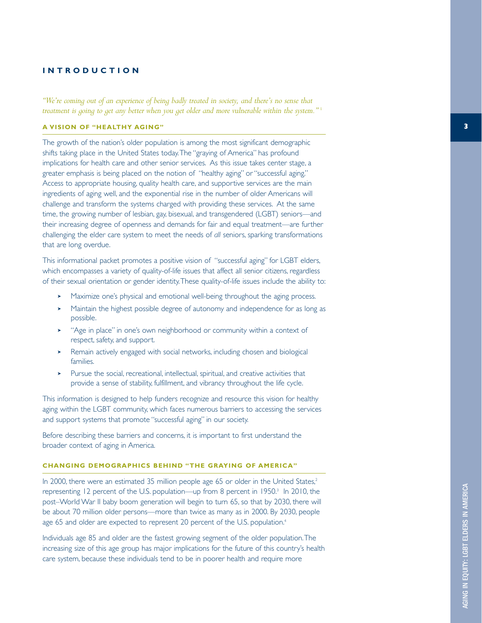#### **INTRODUCTION**

*"We're coming out of an experience of being badly treated in society, and there's no sense that treatment is going to get any better when you get older and more vulnerable within the system."* <sup>1</sup>

#### **A VISION OF "HEALTHY AGING"**

The growth of the nation's older population is among the most significant demographic shifts taking place in the United States today.The "graying of America" has profound implications for health care and other senior services. As this issue takes center stage, a greater emphasis is being placed on the notion of "healthy aging" or "successful aging." Access to appropriate housing, quality health care, and supportive services are the main ingredients of aging well, and the exponential rise in the number of older Americans will challenge and transform the systems charged with providing these services. At the same time, the growing number of lesbian, gay, bisexual, and transgendered (LGBT) seniors—and their increasing degree of openness and demands for fair and equal treatment—are further challenging the elder care system to meet the needs of *all* seniors, sparking transformations that are long overdue.

This informational packet promotes a positive vision of "successful aging" for LGBT elders, which encompasses a variety of quality-of-life issues that affect all senior citizens, regardless of their sexual orientation or gender identity.These quality-of-life issues include the ability to:

- Maximize one's physical and emotional well-being throughout the aging process.
- ➤ Maintain the highest possible degree of autonomy and independence for as long as possible.
- ➤ "Age in place" in one's own neighborhood or community within a context of respect, safety, and support.
- ➤ Remain actively engaged with social networks, including chosen and biological families.
- ➤ Pursue the social, recreational, intellectual, spiritual, and creative activities that provide a sense of stability, fulfillment, and vibrancy throughout the life cycle.

This information is designed to help funders recognize and resource this vision for healthy aging within the LGBT community, which faces numerous barriers to accessing the services and support systems that promote "successful aging" in our society.

Before describing these barriers and concerns, it is important to first understand the broader context of aging in America.

#### **CHANGING DEMOGRAPHICS BEHIND "THE GRAYING OF AMERICA"**

In 2000, there were an estimated 35 million people age 65 or older in the United States,<sup>2</sup> representing 12 percent of the U.S. population—up from 8 percent in 1950.<sup>3</sup> In 2010, the post–World War II baby boom generation will begin to turn 65, so that by 2030, there will be about 70 million older persons—more than twice as many as in 2000. By 2030, people age 65 and older are expected to represent 20 percent of the U.S. population.<sup>4</sup>

Individuals age 85 and older are the fastest growing segment of the older population.The increasing size of this age group has major implications for the future of this country's health care system, because these individuals tend to be in poorer health and require more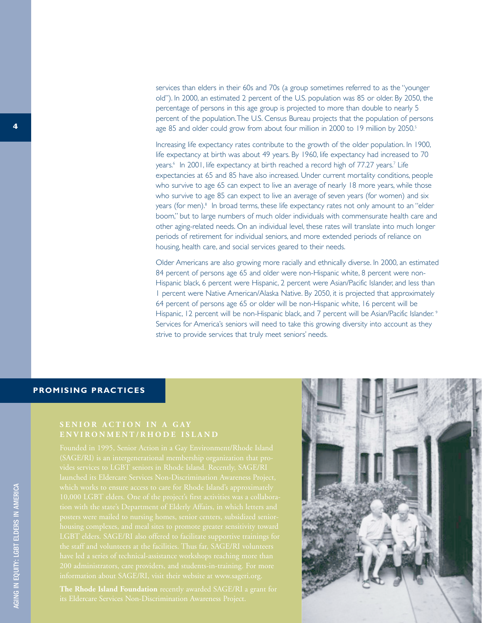services than elders in their 60s and 70s (a group sometimes referred to as the "younger old"). In 2000, an estimated 2 percent of the U.S. population was 85 or older. By 2050, the percentage of persons in this age group is projected to more than double to nearly 5 percent of the population.The U.S. Census Bureau projects that the population of persons age 85 and older could grow from about four million in 2000 to 19 million by 2050.<sup>5</sup>

Increasing life expectancy rates contribute to the growth of the older population. In 1900, life expectancy at birth was about 49 years. By 1960, life expectancy had increased to 70 years.<sup>6</sup> In 2001, life expectancy at birth reached a record high of 77.27 years.<sup>7</sup> Life expectancies at 65 and 85 have also increased. Under current mortality conditions, people who survive to age 65 can expect to live an average of nearly 18 more years, while those who survive to age 85 can expect to live an average of seven years (for women) and six years (for men).<sup>8</sup> In broad terms, these life expectancy rates not only amount to an "elder" boom," but to large numbers of much older individuals with commensurate health care and other aging-related needs. On an individual level, these rates will translate into much longer periods of retirement for individual seniors, and more extended periods of reliance on housing, health care, and social services geared to their needs.

Older Americans are also growing more racially and ethnically diverse. In 2000, an estimated 84 percent of persons age 65 and older were non-Hispanic white, 8 percent were non-Hispanic black, 6 percent were Hispanic, 2 percent were Asian/Pacific Islander, and less than 1 percent were Native American/Alaska Native. By 2050, it is projected that approximately 64 percent of persons age 65 or older will be non-Hispanic white, 16 percent will be Hispanic, 12 percent will be non-Hispanic black, and 7 percent will be Asian/Pacific Islander.<sup>9</sup> Services for America's seniors will need to take this growing diversity into account as they strive to provide services that truly meet seniors' needs.

### **PROMISING PRACTICES**

## **ENVIRONMENT/RHODE ISLAND**

**The Rhode Island Foundation** recently awarded SAGE/RI a grant for

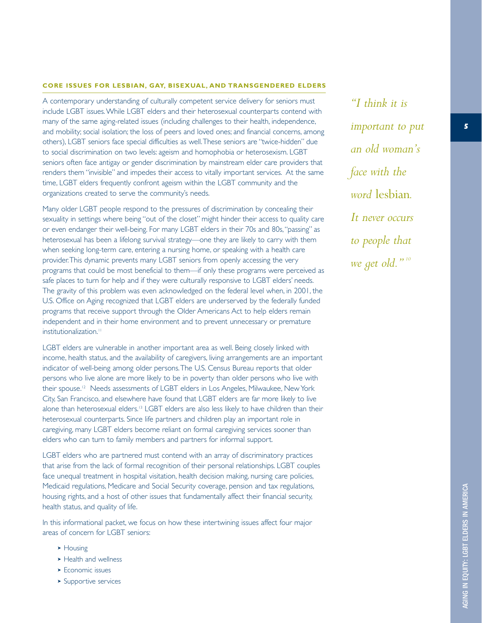#### **CORE ISSUES FOR LESBIAN, GAY, BISEXUAL, AND TRANSGENDERED ELDERS**

A contemporary understanding of culturally competent service delivery for seniors must include LGBT issues.While LGBT elders and their heterosexual counterparts contend with many of the same aging-related issues (including challenges to their health, independence, and mobility; social isolation; the loss of peers and loved ones; and financial concerns, among others), LGBT seniors face special difficulties as well.These seniors are "twice-hidden" due to social discrimination on two levels: ageism and homophobia or heterosexism. LGBT seniors often face antigay or gender discrimination by mainstream elder care providers that renders them "invisible" and impedes their access to vitally important services. At the same time, LGBT elders frequently confront ageism within the LGBT community and the organizations created to serve the community's needs.

Many older LGBT people respond to the pressures of discrimination by concealing their sexuality in settings where being "out of the closet" might hinder their access to quality care or even endanger their well-being. For many LGBT elders in their 70s and 80s,"passing" as heterosexual has been a lifelong survival strategy—one they are likely to carry with them when seeking long-term care, entering a nursing home, or speaking with a health care provider.This dynamic prevents many LGBT seniors from openly accessing the very programs that could be most beneficial to them—if only these programs were perceived as safe places to turn for help and if they were culturally responsive to LGBT elders' needs. The gravity of this problem was even acknowledged on the federal level when, in 2001, the U.S. Office on Aging recognized that LGBT elders are underserved by the federally funded programs that receive support through the Older Americans Act to help elders remain independent and in their home environment and to prevent unnecessary or premature institutionalization.<sup>11</sup>

LGBT elders are vulnerable in another important area as well. Being closely linked with income, health status, and the availability of caregivers, living arrangements are an important indicator of well-being among older persons.The U.S. Census Bureau reports that older persons who live alone are more likely to be in poverty than older persons who live with their spouse.12 Needs assessments of LGBT elders in Los Angeles, Milwaukee, New York City, San Francisco, and elsewhere have found that LGBT elders are far more likely to live alone than heterosexual elders.13 LGBT elders are also less likely to have children than their heterosexual counterparts. Since life partners and children play an important role in caregiving, many LGBT elders become reliant on formal caregiving services sooner than elders who can turn to family members and partners for informal support.

LGBT elders who are partnered must contend with an array of discriminatory practices that arise from the lack of formal recognition of their personal relationships. LGBT couples face unequal treatment in hospital visitation, health decision making, nursing care policies, Medicaid regulations, Medicare and Social Security coverage, pension and tax regulations, housing rights, and a host of other issues that fundamentally affect their financial security, health status, and quality of life.

In this informational packet, we focus on how these intertwining issues affect four major areas of concern for LGBT seniors:

- ➤ Housing
- ➤ Health and wellness
- ► Economic issues
- ➤ Supportive services

*"I think it is important to put an old woman's face with the word* lesbian*. It never occurs to people that we get old." <sup>10</sup>*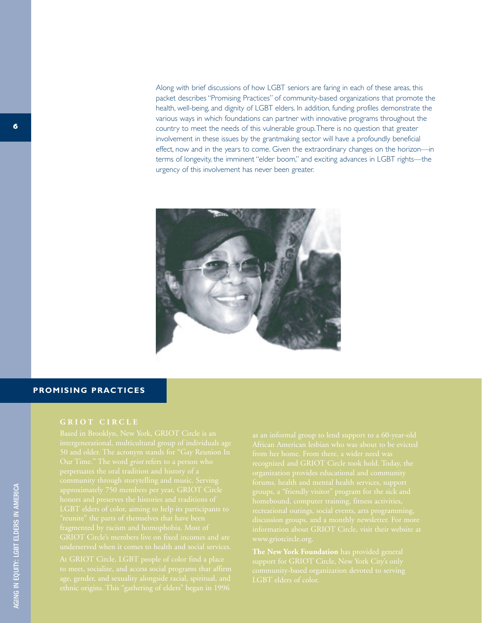Along with brief discussions of how LGBT seniors are faring in each of these areas, this packet describes "Promising Practices" of community-based organizations that promote the health, well-being, and dignity of LGBT elders. In addition, funding profiles demonstrate the various ways in which foundations can partner with innovative programs throughout the country to meet the needs of this vulnerable group.There is no question that greater involvement in these issues by the grantmaking sector will have a profoundly beneficial effect, now and in the years to come. Given the extraordinary changes on the horizon—in terms of longevity, the imminent "elder boom," and exciting advances in LGBT rights—the urgency of this involvement has never been greater.



### **PROMISING PRACTICES**

#### **GRIOT CIRCLE**

**The New York Foundation** has provided general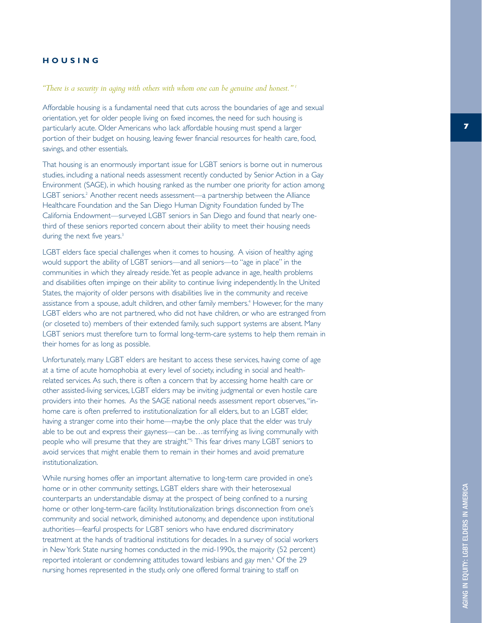#### **HOUSING**

*"There is a security in aging with others with whom one can be genuine and honest." 1*

Affordable housing is a fundamental need that cuts across the boundaries of age and sexual orientation, yet for older people living on fixed incomes, the need for such housing is particularly acute. Older Americans who lack affordable housing must spend a larger portion of their budget on housing, leaving fewer financial resources for health care, food, savings, and other essentials.

That housing is an enormously important issue for LGBT seniors is borne out in numerous studies, including a national needs assessment recently conducted by Senior Action in a Gay Environment (SAGE), in which housing ranked as the number one priority for action among LGBT seniors. <sup>2</sup> Another recent needs assessment—a partnership between the Alliance Healthcare Foundation and the San Diego Human Dignity Foundation funded by The California Endowment—surveyed LGBT seniors in San Diego and found that nearly onethird of these seniors reported concern about their ability to meet their housing needs during the next five years.<sup>3</sup>

LGBT elders face special challenges when it comes to housing. A vision of healthy aging would support the ability of LGBT seniors—and all seniors—to "age in place" in the communities in which they already reside.Yet as people advance in age, health problems and disabilities often impinge on their ability to continue living independently. In the United States, the majority of older persons with disabilities live in the community and receive assistance from a spouse, adult children, and other family members. <sup>4</sup> However, for the many LGBT elders who are not partnered, who did not have children, or who are estranged from (or closeted to) members of their extended family, such support systems are absent. Many LGBT seniors must therefore turn to formal long-term-care systems to help them remain in their homes for as long as possible.

Unfortunately, many LGBT elders are hesitant to access these services, having come of age at a time of acute homophobia at every level of society, including in social and healthrelated services. As such, there is often a concern that by accessing home health care or other assisted-living services, LGBT elders may be inviting judgmental or even hostile care providers into their homes. As the SAGE national needs assessment report observes,"inhome care is often preferred to institutionalization for all elders, but to an LGBT elder, having a stranger come into their home—maybe the only place that the elder was truly able to be out and express their gayness—can be…as terrifying as living communally with people who will presume that they are straight." <sup>5</sup> This fear drives many LGBT seniors to avoid services that might enable them to remain in their homes and avoid premature institutionalization.

While nursing homes offer an important alternative to long-term care provided in one's home or in other community settings, LGBT elders share with their heterosexual counterparts an understandable dismay at the prospect of being confined to a nursing home or other long-term-care facility. Institutionalization brings disconnection from one's community and social network, diminished autonomy, and dependence upon institutional authorities—fearful prospects for LGBT seniors who have endured discriminatory treatment at the hands of traditional institutions for decades. In a survey of social workers in New York State nursing homes conducted in the mid-1990s, the majority (52 percent) reported intolerant or condemning attitudes toward lesbians and gay men. <sup>6</sup> Of the 29 nursing homes represented in the study, only one offered formal training to staff on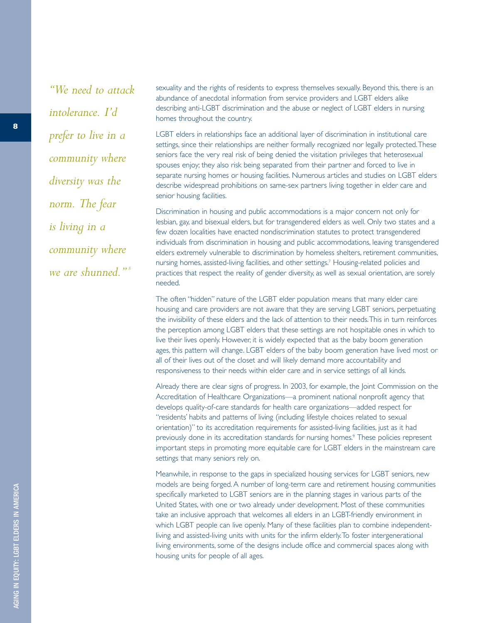*"We need to attack intolerance. I'd prefer to live in a community where diversity was the norm. The fear is living in a community where we are shunned." <sup>8</sup>*

sexuality and the rights of residents to express themselves sexually. Beyond this, there is an abundance of anecdotal information from service providers and LGBT elders alike describing anti-LGBT discrimination and the abuse or neglect of LGBT elders in nursing homes throughout the country.

LGBT elders in relationships face an additional layer of discrimination in institutional care settings, since their relationships are neither formally recognized nor legally protected.These seniors face the very real risk of being denied the visitation privileges that heterosexual spouses enjoy; they also risk being separated from their partner and forced to live in separate nursing homes or housing facilities. Numerous articles and studies on LGBT elders describe widespread prohibitions on same-sex partners living together in elder care and senior housing facilities.

Discrimination in housing and public accommodations is a major concern not only for lesbian, gay, and bisexual elders, but for transgendered elders as well. Only two states and a few dozen localities have enacted nondiscrimination statutes to protect transgendered individuals from discrimination in housing and public accommodations, leaving transgendered elders extremely vulnerable to discrimination by homeless shelters, retirement communities, nursing homes, assisted-living facilities, and other settings.7 Housing-related policies and practices that respect the reality of gender diversity, as well as sexual orientation, are sorely needed.

The often "hidden" nature of the LGBT elder population means that many elder care housing and care providers are not aware that they are serving LGBT seniors, perpetuating the invisibility of these elders and the lack of attention to their needs.This in turn reinforces the perception among LGBT elders that these settings are not hospitable ones in which to live their lives openly. However, it is widely expected that as the baby boom generation ages, this pattern will change. LGBT elders of the baby boom generation have lived most or all of their lives out of the closet and will likely demand more accountability and responsiveness to their needs within elder care and in service settings of all kinds.

Already there are clear signs of progress. In 2003, for example, the Joint Commission on the Accreditation of Healthcare Organizations—a prominent national nonprofit agency that develops quality-of-care standards for health care organizations—added respect for "residents' habits and patterns of living (including lifestyle choices related to sexual orientation)" to its accreditation requirements for assisted-living facilities, just as it had previously done in its accreditation standards for nursing homes.<sup>9</sup> These policies represent important steps in promoting more equitable care for LGBT elders in the mainstream care settings that many seniors rely on.

Meanwhile, in response to the gaps in specialized housing services for LGBT seniors, new models are being forged. A number of long-term care and retirement housing communities specifically marketed to LGBT seniors are in the planning stages in various parts of the United States, with one or two already under development. Most of these communities take an inclusive approach that welcomes all elders in an LGBT-friendly environment in which LGBT people can live openly. Many of these facilities plan to combine independentliving and assisted-living units with units for the infirm elderly.To foster intergenerational living environments, some of the designs include office and commercial spaces along with housing units for people of all ages.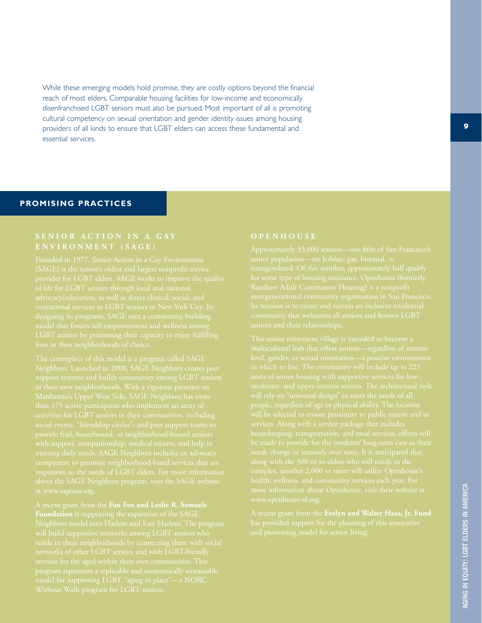While these emerging models hold promise, they are costly options beyond the financial reach of most elders. Comparable housing facilities for low-income and economically disenfranchised LGBT seniors must also be pursued. Most important of all is promoting cultural competency on sexual orientation and gender identity issues among housing providers of all kinds to ensure that LGBT elders can access these fundamental and essential services.

### **PROMISING PRACTICES**

## **ENVIRONMENT (SAGE)**

A recent grant from the **Fan Fox and Leslie R. Samuels**

A recent grant from the **Evelyn and Walter Haas, Jr. Fund**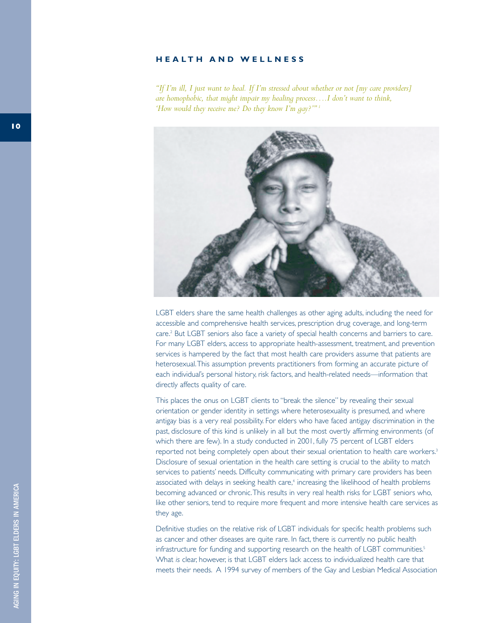#### **HEALTH AND WELLNESS**

*"If I'm ill, I just want to heal. If I'm stressed about whether or not [my care providers] are homophobic, that might impair my healing process….I don't want to think, 'How would they receive me? Do they know I'm gay?'" <sup>1</sup>*



LGBT elders share the same health challenges as other aging adults, including the need for accessible and comprehensive health services, prescription drug coverage, and long-term care.<sup>2</sup> But LGBT seniors also face a variety of special health concerns and barriers to care. For many LGBT elders, access to appropriate health-assessment, treatment, and prevention services is hampered by the fact that most health care providers assume that patients are heterosexual.This assumption prevents practitioners from forming an accurate picture of each individual's personal history, risk factors, and health-related needs—information that directly affects quality of care.

This places the onus on LGBT clients to "break the silence" by revealing their sexual orientation or gender identity in settings where heterosexuality is presumed, and where antigay bias is a very real possibility. For elders who have faced antigay discrimination in the past, disclosure of this kind is unlikely in all but the most overtly affirming environments (of which there are few). In a study conducted in 2001, fully 75 percent of LGBT elders reported not being completely open about their sexual orientation to health care workers.<sup>3</sup> Disclosure of sexual orientation in the health care setting is crucial to the ability to match services to patients' needs. Difficulty communicating with primary care providers has been associated with delays in seeking health care,<sup>4</sup> increasing the likelihood of health problems becoming advanced or chronic.This results in very real health risks for LGBT seniors who, like other seniors, tend to require more frequent and more intensive health care services as they age.

Definitive studies on the relative risk of LGBT individuals for specific health problems such as cancer and other diseases are quite rare. In fact, there is currently no public health infrastructure for funding and supporting research on the health of LGBT communities.<sup>5</sup> What *is* clear, however, is that LGBT elders lack access to individualized health care that meets their needs. A 1994 survey of members of the Gay and Lesbian Medical Association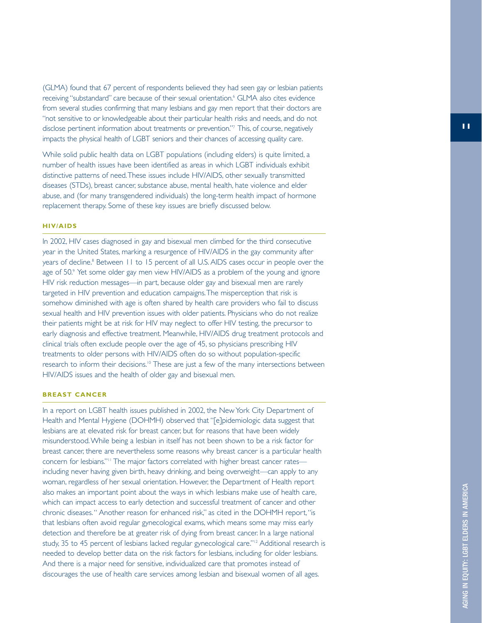(GLMA) found that 67 percent of respondents believed they had seen gay or lesbian patients receiving "substandard" care because of their sexual orientation. <sup>6</sup> GLMA also cites evidence from several studies confirming that many lesbians and gay men report that their doctors are "not sensitive to or knowledgeable about their particular health risks and needs, and do not disclose pertinent information about treatments or prevention." <sup>7</sup> This, of course, negatively impacts the physical health of LGBT seniors and their chances of accessing quality care.

While solid public health data on LGBT populations (including elders) is quite limited, a number of health issues have been identified as areas in which LGBT individuals exhibit distinctive patterns of need.These issues include HIV/AIDS, other sexually transmitted diseases (STDs), breast cancer, substance abuse, mental health, hate violence and elder abuse, and (for many transgendered individuals) the long-term health impact of hormone replacement therapy. Some of these key issues are briefly discussed below.

#### **HIV/AIDS**

In 2002, HIV cases diagnosed in gay and bisexual men climbed for the third consecutive year in the United States, marking a resurgence of HIV/AIDS in the gay community after years of decline. <sup>8</sup> Between 11 to 15 percent of all U.S. AIDS cases occur in people over the age of 50. 9 Yet some older gay men view HIV/AIDS as a problem of the young and ignore HIV risk reduction messages—in part, because older gay and bisexual men are rarely targeted in HIV prevention and education campaigns.The misperception that risk is somehow diminished with age is often shared by health care providers who fail to discuss sexual health and HIV prevention issues with older patients. Physicians who do not realize their patients might be at risk for HIV may neglect to offer HIV testing, the precursor to early diagnosis and effective treatment. Meanwhile, HIV/AIDS drug treatment protocols and clinical trials often exclude people over the age of 45, so physicians prescribing HIV treatments to older persons with HIV/AIDS often do so without population-specific research to inform their decisions.10 These are just a few of the many intersections between HIV/AIDS issues and the health of older gay and bisexual men.

#### **BREAST CANCER**

In a report on LGBT health issues published in 2002, the New York City Department of Health and Mental Hygiene (DOHMH) observed that "[e]pidemiologic data suggest that lesbians are at elevated risk for breast cancer, but for reasons that have been widely misunderstood.While being a lesbian in itself has not been shown to be a risk factor for breast cancer, there are nevertheless some reasons why breast cancer is a particular health concern for lesbians."<sup>11</sup> The major factors correlated with higher breast cancer ratesincluding never having given birth, heavy drinking, and being overweight—can apply to any woman, regardless of her sexual orientation. However, the Department of Health report also makes an important point about the ways in which lesbians make use of health care, which can impact access to early detection and successful treatment of cancer and other chronic diseases." Another reason for enhanced risk," as cited in the DOHMH report,"is that lesbians often avoid regular gynecological exams, which means some may miss early detection and therefore be at greater risk of dying from breast cancer. In a large national study, 35 to 45 percent of lesbians lacked regular gynecological care."12 Additional research is needed to develop better data on the risk factors for lesbians, including for older lesbians. And there is a major need for sensitive, individualized care that promotes instead of discourages the use of health care services among lesbian and bisexual women of all ages.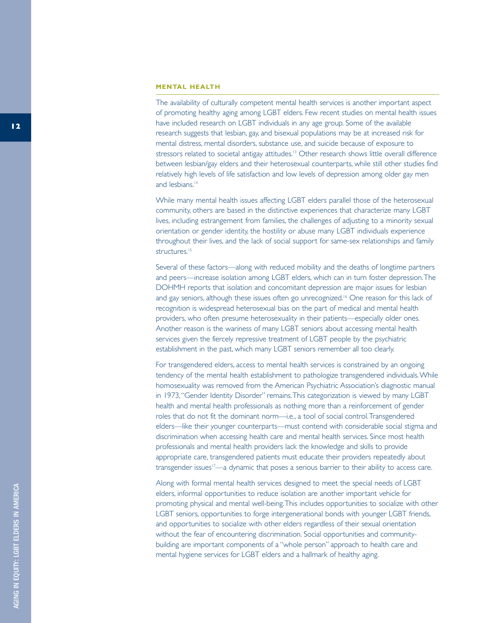#### **MENTAL HEALTH**

The availability of culturally competent mental health services is another important aspect of promoting healthy aging among LGBT elders. Few recent studies on mental health issues have included research on LGBT individuals in any age group. Some of the available research suggests that lesbian, gay, and bisexual populations may be at increased risk for mental distress, mental disorders, substance use, and suicide because of exposure to stressors related to societal antigay attitudes.<sup>13</sup> Other research shows little overall difference between lesbian/gay elders and their heterosexual counterparts, while still other studies find relatively high levels of life satisfaction and low levels of depression among older gay men and lesbians.<sup>14</sup>

While many mental health issues affecting LGBT elders parallel those of the heterosexual community, others are based in the distinctive experiences that characterize many LGBT lives, including estrangement from families, the challenges of adjusting to a minority sexual orientation or gender identity, the hostility or abuse many LGBT individuals experience throughout their lives, and the lack of social support for same-sex relationships and family structures.<sup>15</sup>

Several of these factors—along with reduced mobility and the deaths of longtime partners and peers—increase isolation among LGBT elders, which can in turn foster depression.The DOHMH reports that isolation and concomitant depression are major issues for lesbian and gay seniors, although these issues often go unrecognized.<sup>16</sup> One reason for this lack of recognition is widespread heterosexual bias on the part of medical and mental health providers, who often presume heterosexuality in their patients—especially older ones. Another reason is the wariness of many LGBT seniors about accessing mental health services given the fiercely repressive treatment of LGBT people by the psychiatric establishment in the past, which many LGBT seniors remember all too clearly.

For transgendered elders, access to mental health services is constrained by an ongoing tendency of the mental health establishment to pathologize transgendered individuals.While homosexuality was removed from the American Psychiatric Association's diagnostic manual in 1973,"Gender Identity Disorder" remains.This categorization is viewed by many LGBT health and mental health professionals as nothing more than a reinforcement of gender roles that do not fit the dominant norm—i.e., a tool of social control.Transgendered elders—like their younger counterparts—must contend with considerable social stigma and discrimination when accessing health care and mental health services. Since most health professionals and mental health providers lack the knowledge and skills to provide appropriate care, transgendered patients must educate their providers repeatedly about transgender issues<sup>17</sup>—a dynamic that poses a serious barrier to their ability to access care.

Along with formal mental health services designed to meet the special needs of LGBT elders, informal opportunities to reduce isolation are another important vehicle for promoting physical and mental well-being.This includes opportunities to socialize with other LGBT seniors, opportunities to forge intergenerational bonds with younger LGBT friends, and opportunities to socialize with other elders regardless of their sexual orientation without the fear of encountering discrimination. Social opportunities and community building are important components of a "whole person" approach to health care and mental hygiene services for LGBT elders and a hallmark of healthy aging.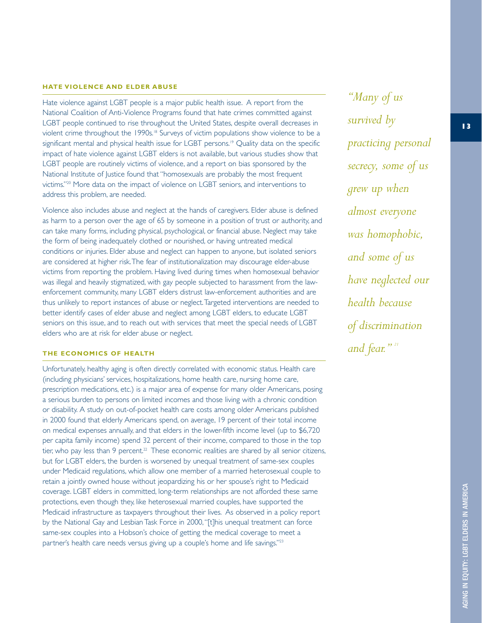#### **HATE VIOLENCE AND ELDER ABUSE**

Hate violence against LGBT people is a major public health issue. A report from the National Coalition of Anti-Violence Programs found that hate crimes committed against LGBT people continued to rise throughout the United States, despite overall decreases in violent crime throughout the 1990s.<sup>18</sup> Surveys of victim populations show violence to be a significant mental and physical health issue for LGBT persons.<sup>19</sup> Quality data on the specific impact of hate violence against LGBT elders is not available, but various studies show that LGBT people are routinely victims of violence, and a report on bias sponsored by the National Institute of Justice found that "homosexuals are probably the most frequent victims."20 More data on the impact of violence on LGBT seniors, and interventions to address this problem, are needed.

Violence also includes abuse and neglect at the hands of caregivers. Elder abuse is defined as harm to a person over the age of 65 by someone in a position of trust or authority, and can take many forms, including physical, psychological, or financial abuse. Neglect may take the form of being inadequately clothed or nourished, or having untreated medical conditions or injuries. Elder abuse and neglect can happen to anyone, but isolated seniors are considered at higher risk.The fear of institutionalization may discourage elder-abuse victims from reporting the problem. Having lived during times when homosexual behavior was illegal and heavily stigmatized, with gay people subjected to harassment from the lawenforcement community, many LGBT elders distrust law-enforcement authorities and are thus unlikely to report instances of abuse or neglect.Targeted interventions are needed to better identify cases of elder abuse and neglect among LGBT elders, to educate LGBT seniors on this issue, and to reach out with services that meet the special needs of LGBT elders who are at risk for elder abuse or neglect.

#### **THE ECONOMICS OF HEALTH**

Unfortunately, healthy aging is often directly correlated with economic status. Health care (including physicians' services, hospitalizations, home health care, nursing home care, prescription medications, etc.) is a major area of expense for many older Americans, posing a serious burden to persons on limited incomes and those living with a chronic condition or disability. A study on out-of-pocket health care costs among older Americans published in 2000 found that elderly Americans spend, on average, 19 percent of their total income on medical expenses annually, and that elders in the lower-fifth income level (up to \$6,720 per capita family income) spend 32 percent of their income, compared to those in the top tier, who pay less than 9 percent.<sup>22</sup> These economic realities are shared by all senior citizens, but for LGBT elders, the burden is worsened by unequal treatment of same-sex couples under Medicaid regulations, which allow one member of a married heterosexual couple to retain a jointly owned house without jeopardizing his or her spouse's right to Medicaid coverage. LGBT elders in committed, long-term relationships are not afforded these same protections, even though they, like heterosexual married couples, have supported the Medicaid infrastructure as taxpayers throughout their lives. As observed in a policy report by the National Gay and Lesbian Task Force in 2000,"[t]his unequal treatment can force same-sex couples into a Hobson's choice of getting the medical coverage to meet a partner's health care needs versus giving up a couple's home and life savings."<sup>23</sup>

*"Many of us survived by practicing personal secrecy, some of us grew up when almost everyone was homophobic, and some of us have neglected our health because of discrimination and fear." <sup>21</sup>*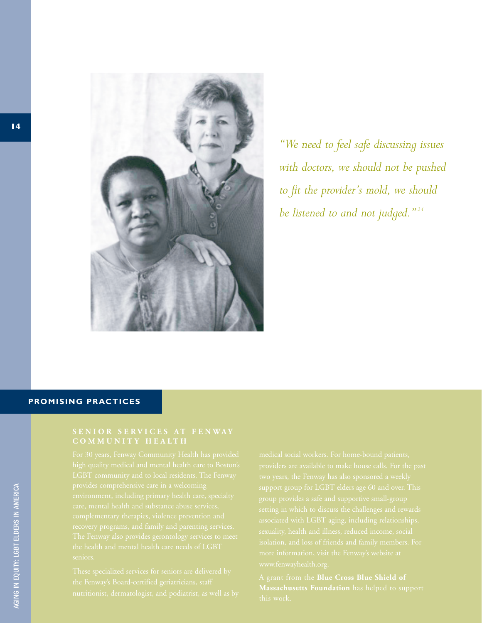

*"We need to feel safe discussing issues with doctors, we should not be pushed to fit the provider's mold, we should be listened to and not judged." <sup>24</sup>*

#### **PROMISING PRACTICES**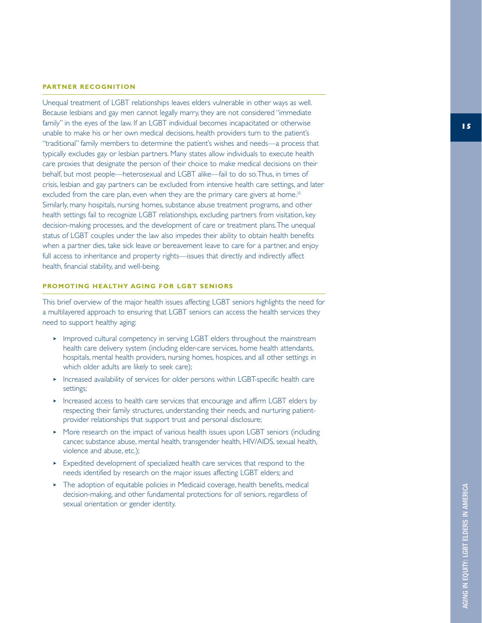#### **PA RTNER RECOGNITION**

Unequal treatment of LGBT relationships leaves elders vulnerable in other ways as well. Because lesbians and gay men cannot legally marry, they are not considered "immediate family" in the eyes of the law. If an LGBT individual becomes incapacitated or otherwise unable to make his or her own medical decisions, health providers turn to the patient's "traditional" family members to determine the patient's wishes and needs—a process that typically excludes gay or lesbian partners. Many states allow individuals to execute health care proxies that designate the person of their choice to make medical decisions on their behalf, but most people—heterosexual and LGBT alike—fail to do so.Thus, in times of crisis, lesbian and gay partners can be excluded from intensive health care settings, and later excluded from the care plan, even when they are the primary care givers at home.<sup>25</sup> Similarly, many hospitals, nursing homes, substance abuse treatment programs, and other health settings fail to recognize LGBT relationships, excluding partners from visitation, key decision-making processes, and the development of care or treatment plans.The unequal status of LGBT couples under the law also impedes their ability to obtain health benefits when a partner dies, take sick leave or bereavement leave to care for a partner, and enjoy full access to inheritance and property rights—issues that directly and indirectly affect health, financial stability, and well-being.

#### **PROMOTING HEALTHY AGING FOR LGBT SENIORS**

This brief overview of the major health issues affecting LGBT seniors highlights the need for a multilayered approach to ensuring that LGBT seniors can access the health services they need to support healthy aging:

- ➤ Improved cultural competency in serving LGBT elders throughout the mainstream health care delivery system (including elder-care services, home health attendants, hospitals, mental health providers, nursing homes, hospices, and all other settings in which older adults are likely to seek care);
- ➤ Increased availability of services for older persons within LGBT-specific health care settings;
- ➤ Increased access to health care services that encourage and affirm LGBT elders by respecting their family structures, understanding their needs, and nurturing patientprovider relationships that support trust and personal disclosure;
- ➤ More research on the impact of various health issues upon LGBT seniors (including cancer, substance abuse, mental health, transgender health, HIV/AIDS, sexual health, violence and abuse, etc.);
- ➤ Expedited development of specialized health care services that respond to the needs identified by research on the major issues affecting LGBT elders; and
- ➤ The adoption of equitable policies in Medicaid coverage, health benefits, medical decision-making, and other fundamental protections for *all* seniors, regardless of sexual orientation or gender identity.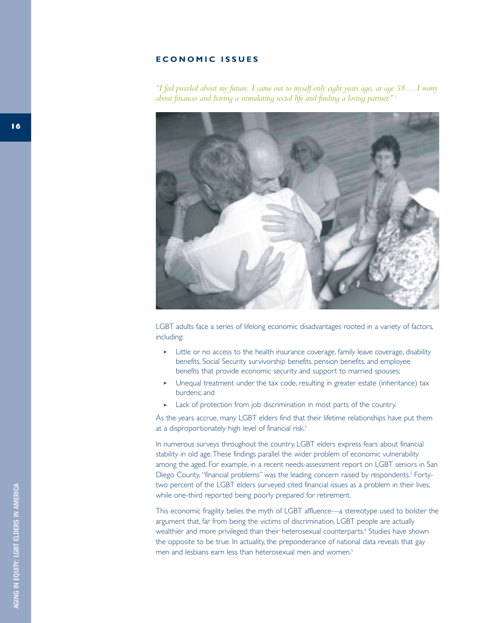#### **ECONOMIC ISSUES**

*"I feel puzzled about my future. I came out to myself only eight years ago, at age 58….I worry about finances and having a stimulating social life and finding a loving partner." <sup>1</sup>*



LGBT adults face a series of lifelong economic disadvantages rooted in a variety of factors, including:

- ➤ Little or no access to the health insurance coverage, family leave coverage, disability benefits, Social Security survivorship benefits, pension benefits, and employee benefits that provide economic security and support to married spouses;
- ➤ Unequal treatment under the tax code, resulting in greater estate (inheritance) tax burdens; and
- ➤ Lack of protection from job discrimination in most parts of the country.

As the years accrue, many LGBT elders find that their lifetime relationships have put them at a disproportionately high level of financial risk.<sup>2</sup>

In numerous surveys throughout the country, LGBT elders express fears about financial stability in old age.These findings parallel the wider problem of economic vulnerability among the aged. For example, in a recent needs-assessment report on LGBT seniors in San Diego County, "financial problems" was the leading concern raised by respondents.<sup>3</sup> Fortytwo percent of the LGBT elders surveyed cited financial issues as a problem in their lives, while one-third reported being poorly prepared for retirement.

This economic fragility belies the myth of LGBT affluence—a stereotype used to bolster the argument that, far from being the victims of discrimination, LGBT people are actually wealthier and more privileged than their heterosexual counterparts.<sup>4</sup> Studies have shown the opposite to be true. In actuality, the preponderance of national data reveals that gay men and lesbians earn less than heterosexual men and women.<sup>5</sup>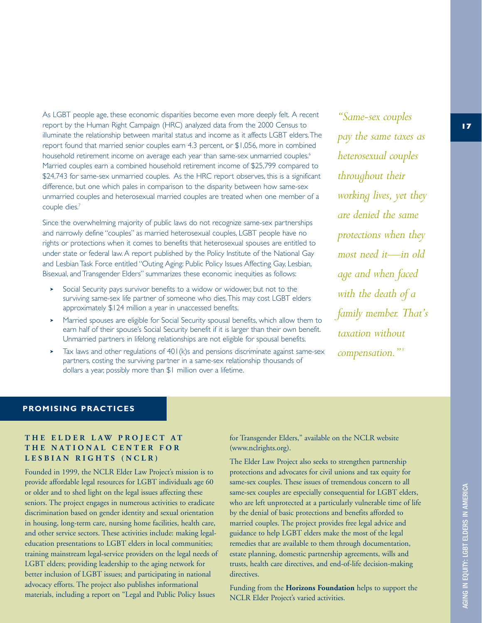As LGBT people age, these economic disparities become even more deeply felt. A recent report by the Human Right Campaign (HRC) analyzed data from the 2000 Census to illuminate the relationship between marital status and income as it affects LGBT elders.The report found that married senior couples earn 4.3 percent, or \$1,056, more in combined household retirement income on average each year than same-sex unmarried couples.<sup>6</sup> Married couples earn a combined household retirement income of \$25,799 compared to \$24,743 for same-sex unmarried couples. As the HRC report observes, this is a significant difference, but one which pales in comparison to the disparity between how same-sex unmarried couples and heterosexual married couples are treated when one member of a couple dies.<sup>7</sup>

Since the overwhelming majority of public laws do not recognize same-sex partnerships and narrowly define "couples" as married heterosexual couples, LGBT people have no rights or protections when it comes to benefits that heterosexual spouses are entitled to under state or federal law. A report published by the Policy Institute of the National Gay and Lesbian Task Force entitled "Outing Aging: Public Policy Issues Affecting Gay, Lesbian, Bisexual, and Transgender Elders" summarizes these economic inequities as follows:

- ➤ Social Security pays survivor benefits to a widow or widower, but not to the surviving same-sex life partner of someone who dies.This may cost LGBT elders approximately \$124 million a year in unaccessed benefits.
- ➤ Married spouses are eligible for Social Security spousal benefits, which allow them to earn half of their spouse's Social Security benefit if it is larger than their own benefit. Unmarried partners in lifelong relationships are not eligible for spousal benefits.
- $\blacktriangleright$  Tax laws and other regulations of 401(k)s and pensions discriminate against same-sex partners, costing the surviving partner in a same-sex relationship thousands of dollars a year, possibly more than \$1 million over a lifetime.

*"Same-sex couples pay the same taxes as heterosexual couples throughout their working lives, yet they are denied the same protections when they most need it—in old age and when faced with the death of a family member. That's taxation without compensation." <sup>8</sup>*

#### **PROMISING PRACTICES**

### **THE ELDER LAW PROJECT AT THE NATIONAL CENTER FOR LESBIAN RIGHTS (NCLR)**

Founded in 1999, the NCLR Elder Law Project's mission is to provide affordable legal resources for LGBT individuals age 60 or older and to shed light on the legal issues affecting these seniors. The project engages in numerous activities to eradicate discrimination based on gender identity and sexual orientation in housing, long-term care, nursing home facilities, health care, and other service sectors. These activities include: making legaleducation presentations to LGBT elders in local communities; training mainstream legal-service providers on the legal needs of LGBT elders; providing leadership to the aging network for better inclusion of LGBT issues; and participating in national advocacy efforts. The project also publishes informational materials, including a report on "Legal and Public Policy Issues

for Transgender Elders," available on the NCLR website (www.nclrights.org).

The Elder Law Project also seeks to strengthen partnership protections and advocates for civil unions and tax equity for same-sex couples. These issues of tremendous concern to all same-sex couples are especially consequential for LGBT elders, who are left unprotected at a particularly vulnerable time of life by the denial of basic protections and benefits afforded to married couples. The project provides free legal advice and guidance to help LGBT elders make the most of the legal remedies that are available to them through documentation, estate planning, domestic partnership agreements, wills and trusts, health care directives, and end-of-life decision-making directives.

Funding from the **Horizons Foundation** helps to support the NCLR Elder Project's varied activities.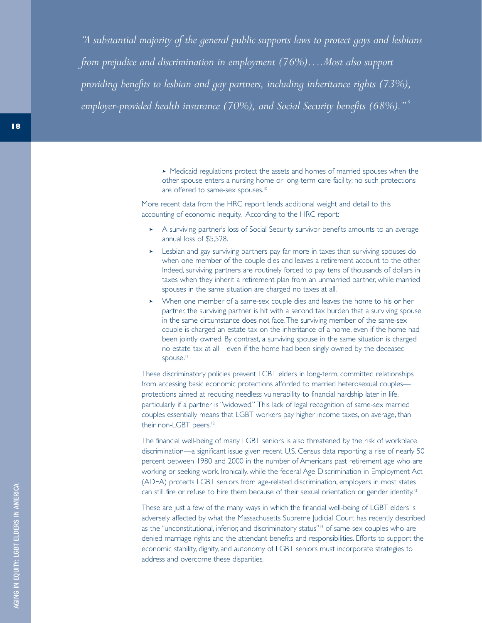*"A substantial majority of the general public supports laws to protect gays and lesbians from prejudice and discrimination in employment (76%)….Most also support providing benefits to lesbian and gay partners, including inheritance rights (73%), employer-provided health insurance (70%), and Social Security benefits (68%)." <sup>9</sup>*

> ➤ Medicaid regulations protect the assets and homes of married spouses when the other spouse enters a nursing home or long-term care facility; no such protections are offered to same-sex spouses.<sup>10</sup>

More recent data from the HRC report lends additional weight and detail to this accounting of economic inequity. According to the HRC report:

- ➤ A surviving partner's loss of Social Security survivor benefits amounts to an average annual loss of \$5,528.
- ➤ Lesbian and gay surviving partners pay far more in taxes than surviving spouses do when one member of the couple dies and leaves a retirement account to the other. Indeed, surviving partners are routinely forced to pay tens of thousands of dollars in taxes when they inherit a retirement plan from an unmarried partner, while married spouses in the same situation are charged no taxes at all.
- ➤ When one member of a same-sex couple dies and leaves the home to his or her partner, the surviving partner is hit with a second tax burden that a surviving spouse in the same circumstance does not face.The surviving member of the same-sex couple is charged an estate tax on the inheritance of a home, even if the home had been jointly owned. By contrast, a surviving spouse in the same situation is charged no estate tax at all—even if the home had been singly owned by the deceased spouse.<sup>11</sup>

These discriminatory policies prevent LGBT elders in long-term, committed relationships from accessing basic economic protections afforded to married heterosexual couples protections aimed at reducing needless vulnerability to financial hardship later in life, particularly if a partner is "widowed." This lack of legal recognition of same-sex married couples essentially means that LGBT workers pay higher income taxes, on average, than their non-LGBT peers.<sup>12</sup>

The financial well-being of many LGBT seniors is also threatened by the risk of workplace discrimination—a significant issue given recent U.S. Census data reporting a rise of nearly 50 percent between 1980 and 2000 in the number of Americans past retirement age who are working or seeking work. Ironically, while the federal Age Discrimination in Employment Act (ADEA) protects LGBT seniors from age-related discrimination, employers in most states can still fire or refuse to hire them because of their sexual orientation or gender identity.<sup>13</sup>

These are just a few of the many ways in which the financial well-being of LGBT elders is adversely affected by what the Massachusetts Supreme Judicial Court has recently described as the "unconstitutional, inferior, and discriminatory status"<sup>14</sup> of same-sex couples who are denied marriage rights and the attendant benefits and responsibilities. Efforts to support the economic stability, dignity, and autonomy of LGBT seniors must incorporate strategies to address and overcome these disparities.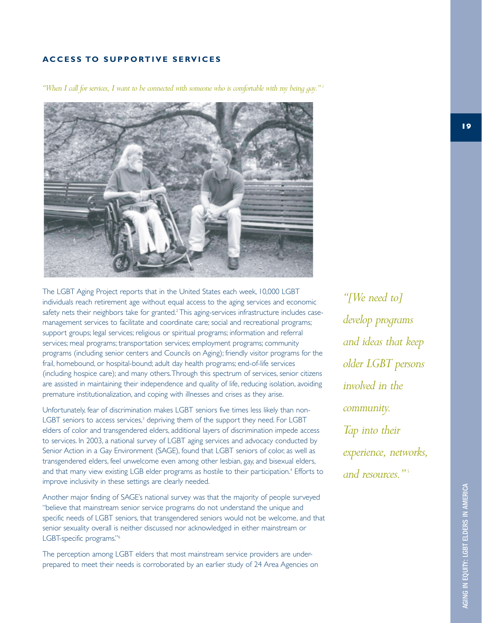#### **ACCESS TO SUPPORTIVE SERVICES**

*"When I call for services, I want to be connected with someone who is comfortable with my being gay." <sup>1</sup>*



The LGBT Aging Project reports that in the United States each week, 10,000 LGBT individuals reach retirement age without equal access to the aging services and economic safety nets their neighbors take for granted.<sup>2</sup> This aging-services infrastructure includes casemanagement services to facilitate and coordinate care; social and recreational programs; support groups; legal services; religious or spiritual programs; information and referral services; meal programs; transportation services; employment programs; community programs (including senior centers and Councils on Aging); friendly visitor programs for the frail, homebound, or hospital-bound; adult day health programs; end-of-life services (including hospice care); and many others.Through this spectrum of services, senior citizens are assisted in maintaining their independence and quality of life, reducing isolation, avoiding premature institutionalization, and coping with illnesses and crises as they arise.

Unfortunately, fear of discrimination makes LGBT seniors five times less likely than non-LGBT seniors to access services,<sup>3</sup> depriving them of the support they need. For LGBT elders of color and transgendered elders, additional layers of discrimination impede access to services. In 2003, a national survey of LGBT aging services and advocacy conducted by Senior Action in a Gay Environment (SAGE), found that LGBT seniors of color, as well as transgendered elders, feel unwelcome even among other lesbian, gay, and bisexual elders, and that many view existing LGB elder programs as hostile to their participation.<sup>4</sup> Efforts to improve inclusivity in these settings are clearly needed.

Another major finding of SAGE's national survey was that the majority of people surveyed "believe that mainstream senior service programs do not understand the unique and specific needs of LGBT seniors, that transgendered seniors would not be welcome, and that senior sexuality overall is neither discussed nor acknowledged in either mainstream or LGBT-specific programs."6

The perception among LGBT elders that most mainstream service providers are underprepared to meet their needs is corroborated by an earlier study of 24 Area Agencies on

*"[We need to] develop programs and ideas that keep older LGBT persons involved in the community. Tap into their experience, networks, and resources." <sup>5</sup>*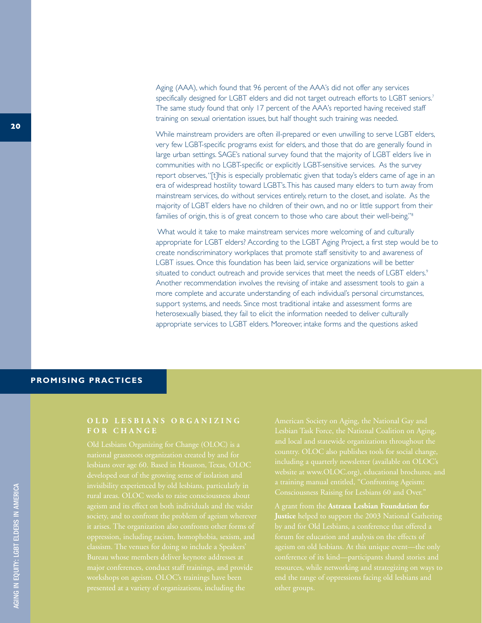Aging (AAA), which found that 96 percent of the AAA's did not offer any services specifically designed for LGBT elders and did not target outreach efforts to LGBT seniors.7 The same study found that only 17 percent of the AAA's reported having received staff training on sexual orientation issues, but half thought such training was needed.

While mainstream providers are often ill-prepared or even unwilling to serve LGBT elders, very few LGBT-specific programs exist for elders, and those that do are generally found in large urban settings. SAGE's national survey found that the majority of LGBT elders live in communities with no LGBT-specific or explicitly LGBT-sensitive services. As the survey report observes,"[t]his is especially problematic given that today's elders came of age in an era of widespread hostility toward LGBT's.This has caused many elders to turn away from mainstream services, do without services entirely, return to the closet, and isolate. As the majority of LGBT elders have no children of their own, and no or little support from their families of origin, this is of great concern to those who care about their well-being."<sup>8</sup>

What would it take to make mainstream services more welcoming of and culturally appropriate for LGBT elders? According to the LGBT Aging Project, a first step would be to create nondiscriminatory workplaces that promote staff sensitivity to and awareness of LGBT issues. Once this foundation has been laid, service organizations will be better situated to conduct outreach and provide services that meet the needs of LGBT elders.<sup>9</sup> Another recommendation involves the revising of intake and assessment tools to gain a more complete and accurate understanding of each individual's personal circumstances, support systems, and needs. Since most traditional intake and assessment forms are heterosexually biased, they fail to elicit the information needed to deliver culturally appropriate services to LGBT elders. Moreover, intake forms and the questions asked

### **PROMISING PRACTICES**

### **OLD LESBIANS ORGANIZING FOR CHANGE**

developed out of the growing sense of isolation and invisibility experienced by old lesbians, particularly in major conferences, conduct staff trainings, and provide

**Justice** helped to support the 2003 National Gathering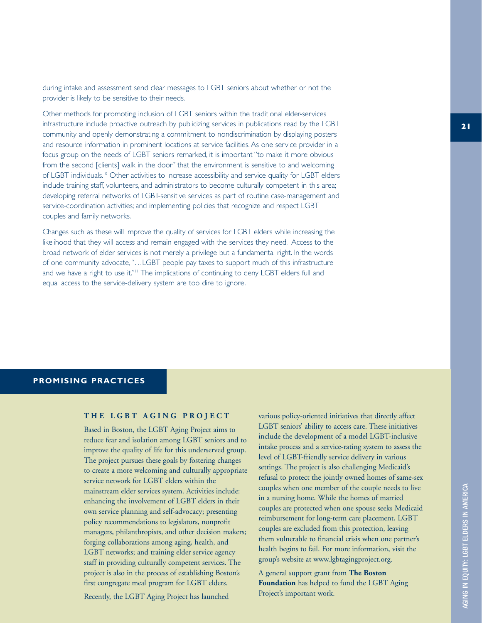during intake and assessment send clear messages to LGBT seniors about whether or not the provider is likely to be sensitive to their needs.

Other methods for promoting inclusion of LGBT seniors within the traditional elder-services infrastructure include proactive outreach by publicizing services in publications read by the LGBT community and openly demonstrating a commitment to nondiscrimination by displaying posters and resource information in prominent locations at service facilities. As one service provider in a focus group on the needs of LGBT seniors remarked, it is important "to make it more obvious from the second [clients] walk in the door" that the environment is sensitive to and welcoming of LGBT individuals.10 Other activities to increase accessibility and service quality for LGBT elders include training staff, volunteers, and administrators to become culturally competent in this area; developing referral networks of LGBT-sensitive services as part of routine case-management and service-coordination activities; and implementing policies that recognize and respect LGBT couples and family networks.

Changes such as these will improve the quality of services for LGBT elders while increasing the likelihood that they will access and remain engaged with the services they need. Access to the broad network of elder services is not merely a privilege but a fundamental right. In the words of one community advocate,"…LGBT people pay taxes to support much of this infrastructure and we have a right to use it."<sup>11</sup> The implications of continuing to deny LGBT elders full and equal access to the service-delivery system are too dire to ignore.

#### **PROMISING PRACTICES**

#### **THE LGBT AGING PROJECT**

Based in Boston, the LGBT Aging Project aims to reduce fear and isolation among LGBT seniors and to improve the quality of life for this underserved group. The project pursues these goals by fostering changes to create a more welcoming and culturally appropriate service network for LGBT elders within the mainstream elder services system. Activities include: enhancing the involvement of LGBT elders in their own service planning and self-advocacy; presenting policy recommendations to legislators, nonprofit managers, philanthropists, and other decision makers; forging collaborations among aging, health, and LGBT networks; and training elder service agency staff in providing culturally competent services. The project is also in the process of establishing Boston's first congregate meal program for LGBT elders.

Recently, the LGBT Aging Project has launched

various policy-oriented initiatives that directly affect LGBT seniors' ability to access care. These initiatives include the development of a model LGBT-inclusive intake process and a service-rating system to assess the level of LGBT-friendly service delivery in various settings. The project is also challenging Medicaid's refusal to protect the jointly owned homes of same-sex couples when one member of the couple needs to live in a nursing home. While the homes of married couples are protected when one spouse seeks Medicaid reimbursement for long-term care placement, LGBT couples are excluded from this protection, leaving them vulnerable to financial crisis when one partner's health begins to fail. For more information, visit the group's website at www.lgbtagingproject.org.

A general support grant from **The Boston Foundation** has helped to fund the LGBT Aging Project's important work.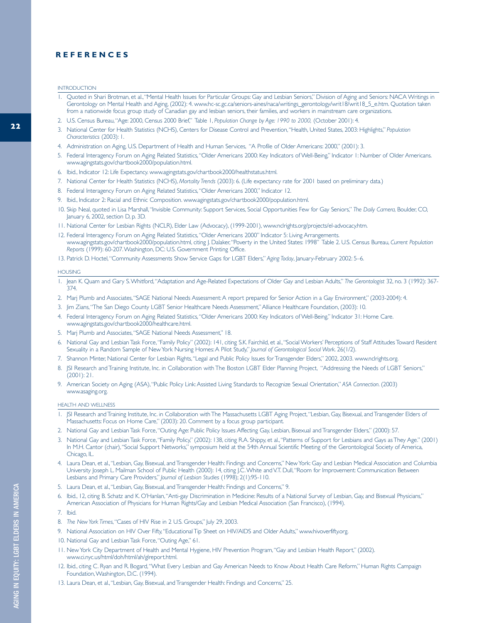#### **REFERENCES**

- 1. Quoted in Shari Brotman, et al.,"Mental Health Issues for Particular Groups: Gay and Lesbian Seniors," Division of Aging and Seniors: NACA Writings in Gerontology on Mental Health and Aging, (2002): 4. www.hc-sc.gc.ca/seniors-aines/naca/writings\_gerontology/writ18/writ18\_5\_e.htm. Quotation taken from a nationwide focus group study of Canadian gay and lesbian seniors, their families, and workers in mainstream care organizations.
- 2. U.S. Census Bureau,"Age: 2000, Census 2000 Brief," Table 1, *Population Change by Age: 1990 to 2000,* (October 2001): 4.
- 3. National Center for Health Statistics (NCHS), Centers for Disease Control and Prevention,"Health, United States, 2003: Highlights," *Population Characteristics* (2003): 1.
- 4. Administration on Aging, U.S. Department of Health and Human Services, "A Profile of Older Americans: 2000," (2001): 3.
- 5. Federal Interagency Forum on Aging Related Statistics,"Older Americans 2000: Key Indicators of Well-Being," Indicator 1: Number of Older Americans. www.agingstats.gov/chartbook2000/population.html.
- 6. Ibid., Indicator 12: Life Expectancy. www.agingstats.gov/chartbook2000/healthstatus.html.
- 7. National Center for Health Statistics (NCHS), *Mortality Trends* (2003): 6. (Life expectancy rate for 2001 based on preliminary data.)
- 8. Federal Interagency Forum on Aging Related Statistics,"Older Americans 2000," Indicator 12.
- 9. Ibid., Indicator 2: Racial and Ethnic Composition. www.agingstats.gov/chartbook2000/population.html.
- 10. Skip Neal, quoted in Lisa Marshall,"Invisible Community: Support Services, Social Opportunities Few for Gay Seniors," *The Daily Camera,* Boulder, CO, January 6, 2002, section D, p. 3D.
- 11. National Center for Lesbian Rights (NCLR), Elder Law (Advocacy), (1999-2001), www.nclrights.org/projects/el-advocacy.htm.
- 12. Federal Interagency Forum on Aging Related Statistics,"Older Americans 2000" Indicator 5: Living Arrangements. www.agingstats.gov/chartbook2000/population.html, citing J. Dalaker,"Poverty in the United States: 1998" Table 2. U.S. Census Bureau, *Current Population Reports* (1999): 60-207.Washington, DC: U.S. Government Printing Office.
- 13. Patrick D. Hoctel,"Community Assessments Show Service Gaps for LGBT Elders," *Aging Today*, January-February 2002: 5–6.

#### **HOUSING**

- 1. Jean K. Quam and Gary S.Whitford,"Adaptation and Age-Related Expectations of Older Gay and Lesbian Adults," *The Gerontologist* 32, no. 3 (1992): 367- 374.
- 2. Marj Plumb and Associates,"SAGE National Needs Assessment: A report prepared for Senior Action in a Gay Environment," (2003-2004): 4.
- 3. Jim Zians,"The San Diego County LGBT Senior Healthcare Needs Assessment," Alliance Healthcare Foundation, (2003): 10.
- 4. Federal Interagency Forum on Aging Related Statistics,"Older Americans 2000: Key Indicators of Well-Being," Indicator 31: Home Care. www.agingstats.gov/chartbook2000/healthcare.html.
- 5. Marj Plumb and Associates,"SAGE National Needs Assessment," 18.
- 6. National Gay and Lesbian Task Force,"Family Policy" (2002): 141, citing S.K. Fairchild, et al.,"Social Workers' Perceptions of Staff Attitudes Toward Resident Sexuality in a Random Sample of New York Nursing Homes: A Pilot Study," *Journal of Gerontological Social Work*. 26(1/2).
- 7. Shannon Minter, National Center for Lesbian Rights,"Legal and Public Policy Issues for Transgender Elders," 2002, 2003. www.nclrights.org.
- 8. JSI Research and Training Institute, Inc. in Collaboration with The Boston LGBT Elder Planning Project, "Addressing the Needs of LGBT Seniors," (2001): 21.
- 9. American Society on Aging (ASA),"Public Policy Link: Assisted Living Standards to Recognize Sexual Orientation," *ASA Connection*. (2003) www.asaging.org.

#### HEALTH AND WELLNESS

- 1. JSI Research and Training Institute, Inc. in Collaboration with The Massachusetts LGBT Aging Project,"Lesbian, Gay, Bisexual, and Transgender Elders of Massachusetts: Focus on Home Care," (2003): 20. Comment by a focus group participant.
- 2. National Gay and Lesbian Task Force,"Outing Age: Public Policy Issues Affecting Gay, Lesbian, Bisexual and Transgender Elders," (2000): 57.
- 3. National Gay and Lesbian Task Force,"Family Policy," (2002): 138, citing R.A. Shippy, et al.,"Patterns of Support for Lesbians and Gays as They Age." (2001) In M.H. Cantor (chair), "Social Support Networks," symposium held at the 54th Annual Scientific Meeting of the Gerontological Society of America, Chicago, IL.
- 4. Laura Dean, et al.,"Lesbian, Gay, Bisexual, and Transgender Health: Findings and Concerns," New York: Gay and Lesbian Medical Association and Columbia University Joseph L. Mailman School of Public Health (2000): 14, citing J.C.White and V.T. Dull,"Room for Improvement: Communication Between Lesbians and Primary Care Providers," *Journal of Lesbian Studies* (1998); 2(1):95-110.
- 5. Laura Dean, et al.,"Lesbian, Gay, Bisexual, and Transgender Health: Findings and Concerns," 9.
- 6. Ibid., 12, citing B. Schatz and K. O'Hanlan,"Anti-gay Discrimination in Medicine: Results of a National Survey of Lesbian, Gay, and Bisexual Physicians," American Association of Physicians for Human Rights/Gay and Lesbian Medical Association (San Francisco), (1994).
- 7. Ibid.
- 8. *The New York Times*,"Cases of HIV Rise in 2 U.S. Groups," July 29, 2003.
- 9. National Association on HIV Over Fifty,"Educational Tip Sheet on HIV/AIDS and Older Adults," www.hivoverfifty.org.
- 10. National Gay and Lesbian Task Force,"Outing Age," 61.
- 11. New York City Department of Health and Mental Hygiene, HIV Prevention Program,"Gay and Lesbian Health Report," (2002). www.ci.nyc.us/html/doh/html/ah/glreport.html.
- 12. Ibid., citing C. Ryan and R. Bogard,"What Every Lesbian and Gay American Needs to Know About Health Care Reform," Human Rights Campaign Foundation,Washington, D.C. (1994).
- 13. Laura Dean, et al.,"Lesbian, Gay, Bisexual, and Transgender Health: Findings and Concerns," 25.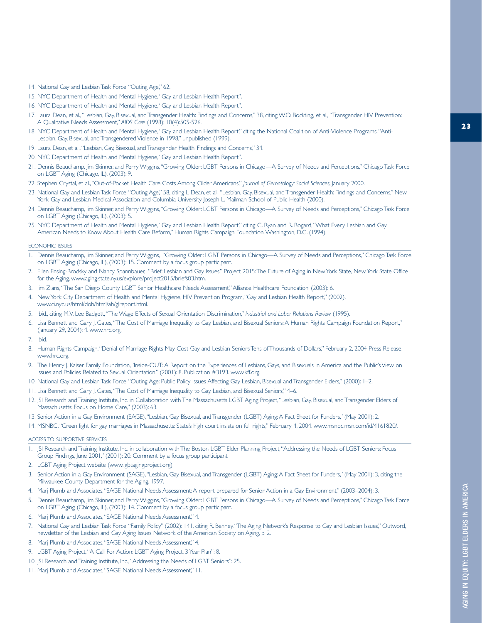- 15. NYC Department of Health and Mental Hygiene,"Gay and Lesbian Health Report".
- 16. NYC Department of Health and Mental Hygiene,"Gay and Lesbian Health Report".
- 17. Laura Dean, et al.,"Lesbian, Gay, Bisexual, and Transgender Health: Findings and Concerns," 38, citing W.O. Bockting, et al.*,*"Transgender HIV Prevention: A Qualitative Needs Assessment," *AIDS Care* (1998); 10(4):505-526.
- 18. NYC Department of Health and Mental Hygiene,"Gay and Lesbian Health Report," citing the National Coalition of Anti-Violence Programs,"Anti-Lesbian, Gay, Bisexual, and Transgendered Violence in 1998," unpublished (1999).
- 19. Laura Dean, et al.,"Lesbian, Gay, Bisexual, and Transgender Health: Findings and Concerns," 34.
- 20. NYC Department of Health and Mental Hygiene,"Gay and Lesbian Health Report".
- 21. Dennis Beauchamp, Jim Skinner, and Perry Wiggins,"Growing Older: LGBT Persons in Chicago—A Survey of Needs and Perceptions," Chicago Task Force on LGBT Aging (Chicago, IL), (2003): 9.
- 22. Stephen Crystal, et al.,"Out-of-Pocket Health Care Costs Among Older Americans," *Journal of Gerontology: Social Sciences*, January 2000.
- 23. National Gay and Lesbian Task Force,"Outing Age," 58, citing L Dean, et al.*,*"Lesbian, Gay, Bisexual, and Transgender Health: Findings and Concerns," New York: Gay and Lesbian Medical Association and Columbia University Joseph L. Mailman School of Public Health (2000).
- 24. Dennis Beauchamp, Jim Skinner, and Perry Wiggins,"Growing Older: LGBT Persons in Chicago—A Survey of Needs and Perceptions," Chicago Task Force on LGBT Aging (Chicago, IL), (2003): 5.
- 25. NYC Department of Health and Mental Hygiene,"Gay and Lesbian Health Report," citing C. Ryan and R. Bogard,"What Every Lesbian and Gay American Needs to Know About Health Care Reform," Human Rights Campaign Foundation,Washington, D.C. (1994).

#### ECONOMIC ISSUES

- 1. Dennis Beauchamp, Jim Skinner, and Perry Wiggins, "Growing Older: LGBT Persons in Chicago—A Survey of Needs and Perceptions," Chicago Task Force on LGBT Aging (Chicago, IL), (2003): 15. Comment by a focus group participant.
- 2. Ellen Ensing-Brodsky and Nancy Spannbauer, "Brief: Lesbian and Gay Issues," Project 2015:The Future of Aging in New York State, New York State Office for the Aging, www.aging.state.ny.us/explore/project2015/briefs03.htm.
- 3. Jim Zians,"The San Diego County LGBT Senior Healthcare Needs Assessment," Alliance Healthcare Foundation, (2003): 6.
- 4. New York City Department of Health and Mental Hygiene, HIV Prevention Program,"Gay and Lesbian Health Report," (2002). www.ci.nyc.us/html/doh/html/ah/glreport.html.
- 5. Ibid., citing M.V. Lee Badgett,"The Wage Effects of Sexual Orientation Discrimination," *Industrial and Labor Relations Review* (1995).
- 6. Lisa Bennett and Gary J. Gates,"The Cost of Marriage Inequality to Gay, Lesbian, and Bisexual Seniors: A Human Rights Campaign Foundation Report," (January 29, 2004): 4. www.hrc.org.
- 7. Ibid.
- 8. Human Rights Campaign,"Denial of Marriage Rights May Cost Gay and Lesbian Seniors Tens of Thousands of Dollars," February 2, 2004 Press Release. www.hrc.org.
- 9. The Henry J. Kaiser Family Foundation,"Inside-OUT: A Report on the Experiences of Lesbians, Gays, and Bisexuals in America and the Public's View on Issues and Policies Related to Sexual Orientation," (2001): 8. Publication #3193. www.kff.org.
- 10. National Gay and Lesbian Task Force,"Outing Age: Public Policy Issues Affecting Gay, Lesbian, Bisexual and Transgender Elders," (2000): 1–2.
- 11. Lisa Bennett and Gary J. Gates,"The Cost of Marriage Inequality to Gay, Lesbian, and Bisexual Seniors," 4–6.
- 12. JSI Research and Training Institute, Inc. in Collaboration with The Massachusetts LGBT Aging Project,"Lesbian, Gay, Bisexual, and Transgender Elders of Massachusetts: Focus on Home Care," (2003): 63.
- 13. Senior Action in a Gay Environment (SAGE),"Lesbian, Gay, Bisexual, and Transgender (LGBT) Aging: A Fact Sheet for Funders," (May 2001): 2.
- 14. MSNBC,"Green light for gay marriages in Massachusetts: State's high court insists on full rights," February 4, 2004. www.msnbc.msn.com/id/4161820/.

#### ACCESS TO SUPPORTIVE SERVICES

- 1. JSI Research and Training Institute, Inc. in collaboration with The Boston LGBT Elder Planning Project,"Addressing the Needs of LGBT Seniors: Focus Group Findings, June 2001," (2001): 20. Comment by a focus group participant.
- 2. LGBT Aging Project website (www.lgbtagingproject.org).
- 3. Senior Action in a Gay Environment (SAGE),"Lesbian, Gay, Bisexual, and Transgender (LGBT) Aging: A Fact Sheet for Funders," (May 2001): 3, citing the Milwaukee County Department for the Aging, 1997.
- 4. Marj Plumb and Associates,"SAGE National Needs Assessment: A report prepared for Senior Action in a Gay Environment," (2003–2004): 3.
- 5. Dennis Beauchamp, Jim Skinner, and Perry Wiggins,"Growing Older: LGBT Persons in Chicago—A Survey of Needs and Perceptions," Chicago Task Force on LGBT Aging (Chicago, IL), (2003): 14. Comment by a focus group participant.
- 6. Marj Plumb and Associates,"SAGE National Needs Assessment," 4.
- 7. National Gay and Lesbian Task Force,"Family Policy" (2002): 141, citing R. Behney,"The Aging Network's Response to Gay and Lesbian Issues," Outword, newsletter of the Lesbian and Gay Aging Issues Network of the American Society on Aging, p. 2.
- 8. Marj Plumb and Associates,"SAGE National Needs Assessment," 4.
- 9. LGBT Aging Project,"A Call For Action: LGBT Aging Project, 3 Year Plan": 8.
- 10. JSI Research and Training Institute, Inc.,"Addressing the Needs of LGBT Seniors": 25.
- 11. Marj Plumb and Associates,"SAGE National Needs Assessment," 11.